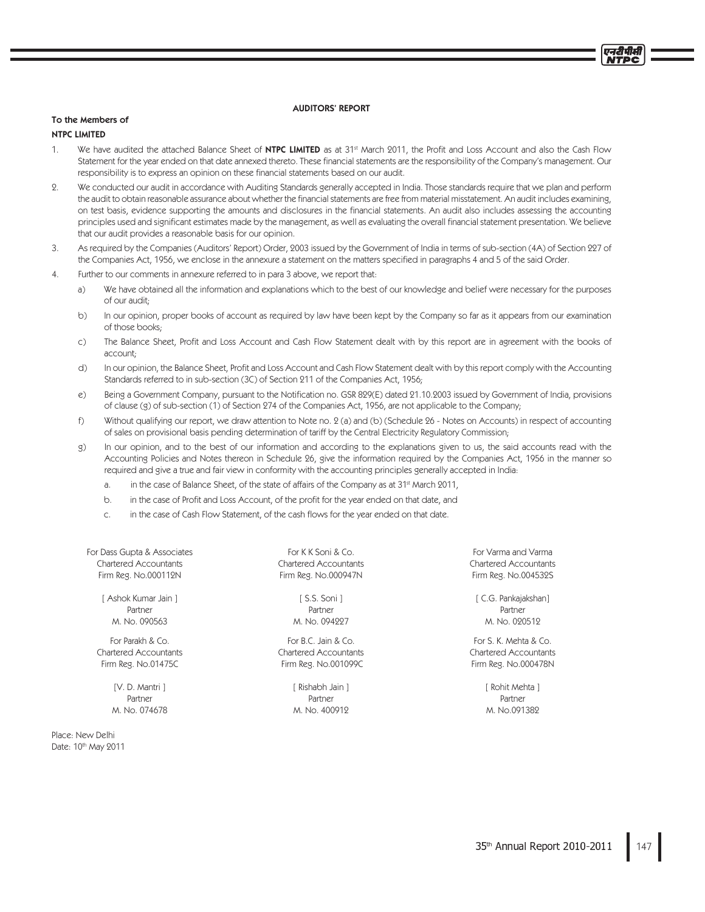#### AUDITORS' REPORT

## To the Members of

### **NTPC LIMITED**

- $\mathbf{1}$ We have audited the attached Balance Sheet of **NTPC LIMITED** as at 31<sup>st</sup> March 2011, the Profit and Loss Account and also the Cash Flow Statement for the year ended on that date annexed thereto. These financial statements are the responsibility of the Company's management. Our responsibility is to express an opinion on these financial statements based on our audit.
- $\overline{2}$ . We conducted our audit in accordance with Auditing Standards generally accepted in India. Those standards require that we plan and perform the audit to obtain reasonable assurance about whether the financial statements are free from material misstatement. An audit includes examining, on test basis, evidence supporting the amounts and disclosures in the financial statements. An audit also includes assessing the accounting principles used and significant estimates made by the management, as well as evaluating the overall financial statement presentation. We believe that our audit provides a reasonable basis for our opinion.
- As required by the Companies (Auditors' Report) Order, 2003 issued by the Government of India in terms of sub-section (4A) of Section 227 of  $\mathcal{L}$ the Companies Act, 1956, we enclose in the annexure a statement on the matters specified in paragraphs 4 and 5 of the said Order.
- Further to our comments in annexure referred to in para 3 above, we report that: 4.
	- We have obtained all the information and explanations which to the best of our knowledge and belief were necessary for the purposes  $a)$ of our audit:
	- $b)$ In our opinion, proper books of account as required by law have been kept by the Company so far as it appears from our examination of those books.
	- The Balance Sheet, Profit and Loss Account and Cash Flow Statement dealt with by this report are in agreement with the books of  $\mathsf{C}$ ) account-
	- $\overline{d}$ In our opinion, the Balance Sheet, Profit and Loss Account and Cash Flow Statement dealt with by this report comply with the Accounting Standards referred to in sub-section (3C) of Section 211 of the Companies Act, 1956;
	- Being a Government Company, pursuant to the Notification no. GSR 829(E) dated 21.10.2003 issued by Government of India, provisions  $\epsilon$ ) of clause (g) of sub-section (1) of Section 274 of the Companies Act, 1956, are not applicable to the Company;
	- Without qualifying our report, we draw attention to Note no. 2 (a) and (b) (Schedule 26 Notes on Accounts) in respect of accounting f) of sales on provisional basis pending determination of tariff by the Central Electricity Regulatory Commission;
	- $\sigma$ ) In our opinion, and to the best of our information and according to the explanations given to us, the said accounts read with the Accounting Policies and Notes thereon in Schedule 26, give the information required by the Companies Act, 1956 in the manner so required and give a true and fair view in conformity with the accounting principles generally accepted in India:
		- in the case of Balance Sheet, of the state of affairs of the Company as at 31<sup>st</sup> March 2011,  $\overline{a}$
		- in the case of Profit and Loss Account, of the profit for the year ended on that date, and  $b$
		- in the case of Cash Flow Statement, of the cash flows for the year ended on that date.  $\epsilon$

For Dass Gupta & Associates **Chartered Accountants** Firm Reg. No.000112N

> [ Ashok Kumar Jain ] Partner M. No. 090563

For Parakh & Co. Chartered Accountants Firm Reg. No.01475C

> [V. D. Mantri ] Partner M. No. 074678

Place: New Delhi Date: 10th May 2011

For K K Soni & Co. Chartered Accountants Firm Reg. No.000947N

> [ S.S. Soni ] Partner M. No. 094227

For B.C. Jain & Co. Chartered Accountants Firm Reg. No.001099C

> [ Rishabh Jain ] Partner M. No. 400912

For Varma and Varma Chartered Accountants Firm Reg. No.004532S

[ C.G. Pankajakshan] Partner M. No. 020512

For S. K. Mehta & Co. Chartered Accountants Firm Reg. No.000478N

> [ Rohit Mehta ] Partner M. No.091389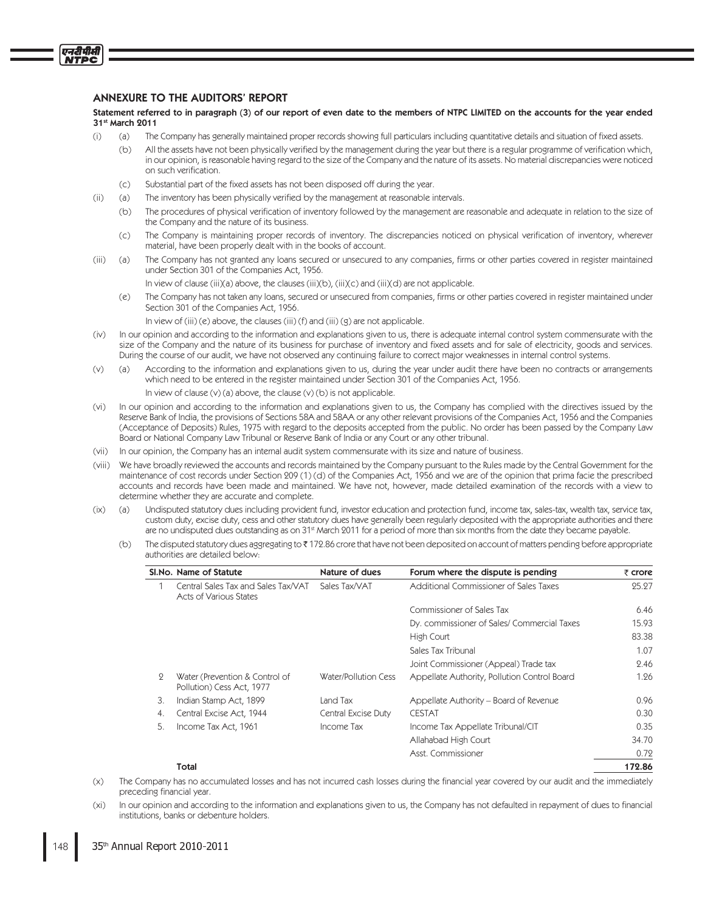# **ANNEXURE TO THE AUDITORS' REPORT**

एनदीपीसी **ITPC** 

> Statement referred to in paragraph (3) of our report of even date to the members of NTPC LIMITED on the accounts for the year ended 31<sup>st</sup> March 2011

- $(i)$  $(a)$ The Company has generally maintained proper records showing full particulars including quantitative details and situation of fixed assets.
	- $(h)$ All the assets have not been physically verified by the management during the year but there is a regular programme of verification which. in our opinion, is reasonable having regard to the size of the Company and the nature of its assets. No material discrepancies were noticed on such verification.
	- $(c)$ Substantial part of the fixed assets has not been disposed off during the year.
- $(i)$ The inventory has been physically verified by the management at reasonable intervals.  $(a)$ 
	- The procedures of physical verification of inventory followed by the management are reasonable and adequate in relation to the size of  $(b)$ the Company and the nature of its business.
	- The Company is maintaining proper records of inventory. The discrepancies noticed on physical verification of inventory, wherever  $(C)$ material, have been properly dealt with in the books of account.
- The Company has not granted any loans secured or unsecured to any companies, firms or other parties covered in register maintained  $(iii)$ (a) under Section 301 of the Companies Act, 1956.

In view of clause (iii)(a) above, the clauses (iii)(b), (iii)(c) and (iii)(d) are not applicable.

- The Company has not taken any loans, secured or unsecured from companies, firms or other parties covered in register maintained under  $(e)$ Section 301 of the Companies Act, 1956.
	- In view of (iii) (e) above, the clauses (iii) (f) and (iii) (g) are not applicable.
- In our opinion and according to the information and explanations given to us, there is adequate internal control system commensurate with the  $(iv)$ size of the Company and the nature of its business for purchase of inventory and fixed assets and for sale of electricity, goods and services. During the course of our audit, we have not observed any continuing failure to correct major weaknesses in internal control systems.
- According to the information and explanations given to us, during the year under audit there have been no contracts or arrangements  $(v)$  $(a)$ which need to be entered in the register maintained under Section 301 of the Companies Act, 1956.
	- In view of clause (v) (a) above, the clause (v) (b) is not applicable
- In our opinion and according to the information and explanations given to us, the Company has complied with the directives issued by the  $(vi)$ Reserve Bank of India, the provisions of Sections 58A and 58AA or any other relevant provisions of the Companies Act, 1956 and the Companies (Acceptance of Deposits) Rules, 1975 with regard to the deposits accepted from the public. No order has been passed by the Company Law Board or National Company Law Tribunal or Reserve Bank of India or any Court or any other tribunal.
- (vii) In our opinion, the Company has an internal audit system commensurate with its size and nature of business.
- (viii) We have broadly reviewed the accounts and records maintained by the Company pursuant to the Rules made by the Central Government for the maintenance of cost records under Section 209 (1) (d) of the Companies Act, 1956 and we are of the opinion that prima facie the prescribed accounts and records have been made and maintained. We have not, however, made detailed examination of the records with a view to determine whether they are accurate and complete.
- $(ix)$  $(a)$ Undisputed statutory dues including provident fund, investor education and protection fund, income tax, sales-tax, wealth tax, service tax, custom duty, excise duty, cess and other statutory dues have generally been regularly deposited with the appropriate authorities and there are no undisputed dues outstanding as on 31<sup>st</sup> March 2011 for a period of more than six months from the date they became payable.
	- The disputed statutory dues aggregating to ₹172.86 crore that have not been deposited on account of matters pending before appropriate  $(b)$ authorities are detailed below-

|     | SI. No. Name of Statute                                       | Nature of dues       | Forum where the dispute is pending           | $\bar{z}$ crore |
|-----|---------------------------------------------------------------|----------------------|----------------------------------------------|-----------------|
|     | Central Sales Tax and Sales Tax/VAT<br>Acts of Various States | Sales Tax/VAT        | Additional Commissioner of Sales Taxes       | 25.27           |
|     |                                                               |                      | Commissioner of Sales Tax                    | 6.46            |
|     |                                                               |                      | Dy. commissioner of Sales/ Commercial Taxes  | 15.93           |
|     |                                                               |                      | High Court                                   | 83.38           |
|     |                                                               |                      | Sales Tax Tribunal                           | 1.07            |
|     |                                                               |                      | Joint Commissioner (Appeal) Trade tax        | 2.46            |
| 9   | Water (Prevention & Control of<br>Pollution) Cess Act, 1977   | Water/Pollution Cess | Appellate Authority, Pollution Control Board | 1.26            |
| 3.  | Indian Stamp Act, 1899                                        | Land Tax             | Appellate Authority – Board of Revenue       | 0.96            |
| 4.  | Central Excise Act, 1944                                      | Central Excise Duty  | <b>CESTAT</b>                                | 0.30            |
| .5. | Income Tax Act, 1961                                          | Income Tax           | Income Tax Appellate Tribunal/CIT            | 0.35            |
|     |                                                               |                      | Allahabad High Court                         | 34.70           |
|     |                                                               |                      | Asst. Commissioner                           | 0.72            |

172.86

#### Total

- The Company has no accumulated losses and has not incurred cash losses during the financial year covered by our audit and the immediately  $(x)$ preceding financial year.
- In our opinion and according to the information and explanations given to us, the Company has not defaulted in repayment of dues to financial  $(x<sub>i</sub>)$ institutions, banks or debenture holders.